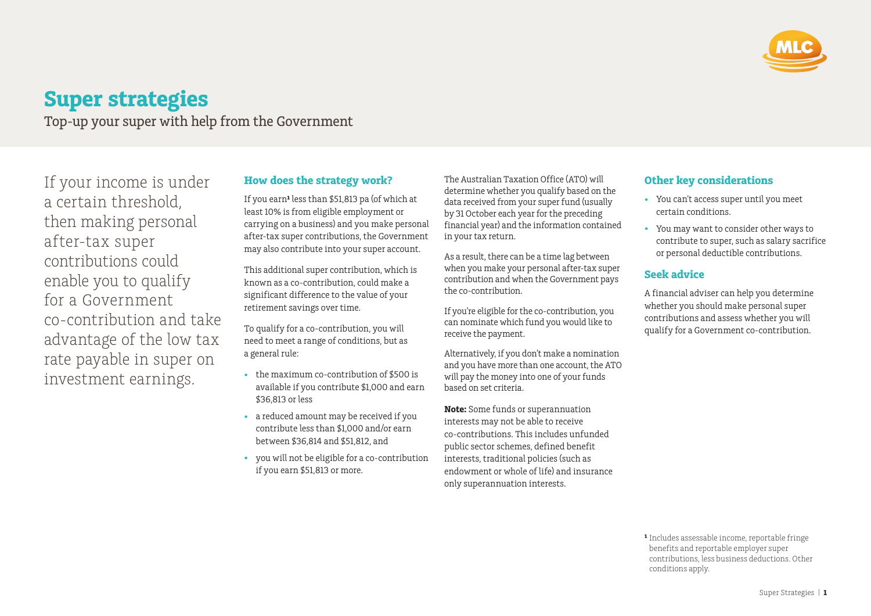

# **Super strategies**

Top-up your super with help from the Government

If your income is under a certain threshold, then making personal after-tax super contributions could enable you to qualify for a Government co-contribution and take advantage of the low tax rate payable in super on investment earnings.

## **How does the strategy work?**

If you earn<sup>1</sup> less than \$51,813 pa (of which at least 10% is from eligible employment or carrying on a business) and you make personal after-tax super contributions, the Government may also contribute into your super account.

This additional super contribution, which is known as a co-contribution, could make a significant difference to the value of your retirement savings over time.

To qualify for a co-contribution, you will need to meet a range of conditions, but as a general rule:

- the maximum co-contribution of \$500 is available if you contribute \$1,000 and earn \$36,813 or less
- a reduced amount may be received if you contribute less than \$1,000 and/or earn between \$36,814 and \$51,812, and
- you will not be eligible for a co-contribution if you earn \$51,813 or more.

The Australian Taxation Office (ATO) will determine whether you qualify based on the data received from your super fund (usually by 31 October each year for the preceding financial year) and the information contained in your tax return.

As a result, there can be a time lag between when you make your personal after-tax super contribution and when the Government pays the co-contribution.

If you're eligible for the co-contribution, you can nominate which fund you would like to receive the payment.

Alternatively, if you don't make a nomination and you have more than one account, the ATO will pay the money into one of your funds based on set criteria.

**Note:** Some funds or superannuation interests may not be able to receive co-contributions. This includes unfunded public sector schemes, defined benefit interests, traditional policies (such as endowment or whole of life) and insurance only superannuation interests.

## **Other key considerations**

- You can't access super until you meet certain conditions.
- You may want to consider other ways to contribute to super, such as salary sacrifice or personal deductible contributions.

## **Seek advice**

A financial adviser can help you determine whether you should make personal super contributions and assess whether you will qualify for a Government co-contribution.

**¹** Includes assessable income, reportable fringe benefits and reportable employer super contributions, less business deductions. Other conditions apply.